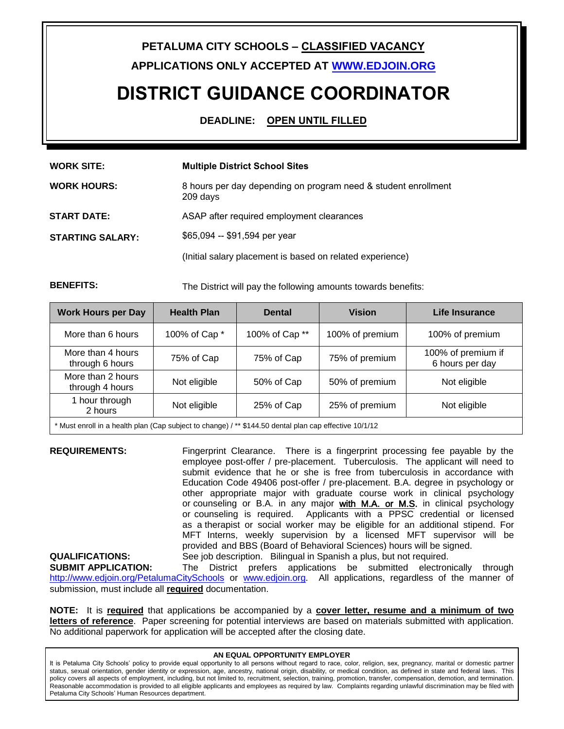## **PETALUMA CITY SCHOOLS – CLASSIFIED VACANCY**

**APPLICATIONS ONLY ACCEPTED AT WWW.EDJOIN.ORG**

# **DISTRICT GUIDANCE COORDINATOR**

**DEADLINE: OPEN UNTIL FILLED**

| <b>WORK SITE:</b>       | <b>Multiple District School Sites</b>                                      |  |  |
|-------------------------|----------------------------------------------------------------------------|--|--|
| <b>WORK HOURS:</b>      | 8 hours per day depending on program need & student enrollment<br>209 days |  |  |
| <b>START DATE:</b>      | ASAP after required employment clearances                                  |  |  |
| <b>STARTING SALARY:</b> | \$65,094 -- \$91,594 per year                                              |  |  |
|                         | (Initial salary placement is based on related experience)                  |  |  |

**BENEFITS:** The District will pay the following amounts towards benefits:

| <b>Work Hours per Day</b>                                                                              | <b>Health Plan</b> | <b>Dental</b>  | <b>Vision</b>   | Life Insurance                        |  |
|--------------------------------------------------------------------------------------------------------|--------------------|----------------|-----------------|---------------------------------------|--|
| More than 6 hours                                                                                      | 100% of Cap *      | 100% of Cap ** | 100% of premium | 100% of premium                       |  |
| More than 4 hours<br>through 6 hours                                                                   | 75% of Cap         | 75% of Cap     | 75% of premium  | 100% of premium if<br>6 hours per day |  |
| More than 2 hours<br>through 4 hours                                                                   | Not eligible       | 50% of Cap     | 50% of premium  | Not eligible                          |  |
| 1 hour through<br>2 hours                                                                              | Not eligible       | 25% of Cap     | 25% of premium  | Not eligible                          |  |
| * Must enroll in a health plan (Cap subject to change) / ** \$144.50 dental plan cap effective 10/1/12 |                    |                |                 |                                       |  |

**REQUIREMENTS:** Fingerprint Clearance. There is a fingerprint processing fee payable by the employee post-offer / pre-placement. Tuberculosis. The applicant will need to submit evidence that he or she is free from tuberculosis in accordance with Education Code 49406 post-offer / pre-placement. B.A. degree in psychology or other appropriate major with graduate course work in clinical psychology or counseling or B.A. in any major with M.A. or M.S. in clinical psychology or counseling is required. Applicants with a PPSC credential or licensed as a therapist or social worker may be eligible for an additional stipend. For MFT Interns, weekly supervision by a licensed MFT supervisor will be provided and BBS (Board of Behavioral Sciences) hours will be signed. **QUALIFICATIONS:** See job description. Bilingual in Spanish a plus, but not required.

#### **SUBMIT APPLICATION:** The District prefers applications be submitted electronically through http://www.edjoin.org/PetalumaCitySchools or www.edjoin.org. All applications, regardless of the manner of submission, must include all **required** documentation.

**NOTE:** It is **required** that applications be accompanied by a **cover letter, resume and a minimum of two letters of reference**. Paper screening for potential interviews are based on materials submitted with application. No additional paperwork for application will be accepted after the closing date.

#### **AN EQUAL OPPORTUNITY EMPLOYER**

It is Petaluma City Schools' policy to provide equal opportunity to all persons without regard to race, color, religion, sex, pregnancy, marital or domestic partner status, sexual orientation, gender identity or expression, age, ancestry, national origin, disability, or medical condition, as defined in state and federal laws. This policy covers all aspects of employment, including, but not limited to, recruitment, selection, training, promotion, transfer, compensation, demotion, and termination. Reasonable accommodation is provided to all eligible applicants and employees as required by law. Complaints regarding unlawful discrimination may be filed with Petaluma City Schools' Human Resources department.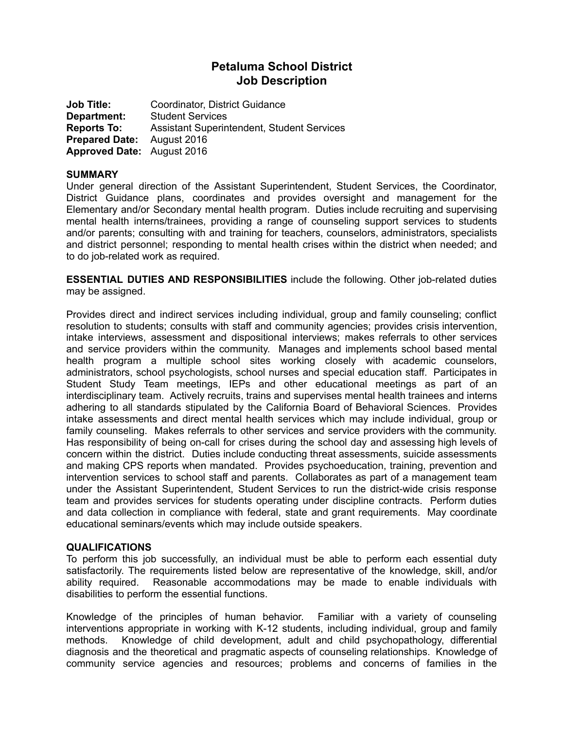# **Petaluma School District Job Description**

**Job Title:** Coordinator, District Guidance **Department:** Student Services **Reports To:** Assistant Superintendent, Student Services **Prepared Date:** August 2016 **Approved Date:** August 2016

## **SUMMARY**

Under general direction of the Assistant Superintendent, Student Services, the Coordinator, District Guidance plans, coordinates and provides oversight and management for the Elementary and/or Secondary mental health program. Duties include recruiting and supervising mental health interns/trainees, providing a range of counseling support services to students and/or parents; consulting with and training for teachers, counselors, administrators, specialists and district personnel; responding to mental health crises within the district when needed; and to do job-related work as required.

**ESSENTIAL DUTIES AND RESPONSIBILITIES** include the following. Other job-related duties may be assigned.

Provides direct and indirect services including individual, group and family counseling; conflict resolution to students; consults with staff and community agencies; provides crisis intervention, intake interviews, assessment and dispositional interviews; makes referrals to other services and service providers within the community. Manages and implements school based mental health program a multiple school sites working closely with academic counselors, administrators, school psychologists, school nurses and special education staff. Participates in Student Study Team meetings, IEPs and other educational meetings as part of an interdisciplinary team. Actively recruits, trains and supervises mental health trainees and interns adhering to all standards stipulated by the California Board of Behavioral Sciences. Provides intake assessments and direct mental health services which may include individual, group or family counseling. Makes referrals to other services and service providers with the community. Has responsibility of being on-call for crises during the school day and assessing high levels of concern within the district. Duties include conducting threat assessments, suicide assessments and making CPS reports when mandated. Provides psychoeducation, training, prevention and intervention services to school staff and parents. Collaborates as part of a management team under the Assistant Superintendent, Student Services to run the district-wide crisis response team and provides services for students operating under discipline contracts. Perform duties and data collection in compliance with federal, state and grant requirements. May coordinate educational seminars/events which may include outside speakers.

#### **QUALIFICATIONS**

To perform this job successfully, an individual must be able to perform each essential duty satisfactorily. The requirements listed below are representative of the knowledge, skill, and/or ability required. Reasonable accommodations may be made to enable individuals with disabilities to perform the essential functions.

Knowledge of the principles of human behavior. Familiar with a variety of counseling interventions appropriate in working with K-12 students, including individual, group and family methods. Knowledge of child development, adult and child psychopathology, differential diagnosis and the theoretical and pragmatic aspects of counseling relationships. Knowledge of community service agencies and resources; problems and concerns of families in the